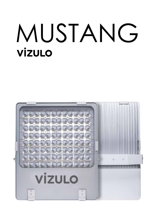# MUSTANG **VİZULO**

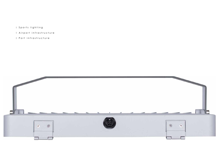- I Sports lighting
- Airport infrastructure
- Port infrastructure

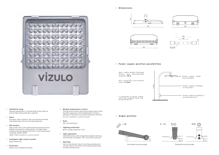Pressure equalisation. It ensures high air flow rates as well as high water protection capacity

**Ventilation plug**

Flat glass. Glass is fixed to die-cast aluminium frame with metal clips and can be easily replaced

# **Glass**

High quality LED's with optimal thermal resistance and energy consumption characteristic, for high lumen output and long expected life time. Color temperature available: 3000K, 4000K *(5000K, 5700K available on customer request)*

# **LED module**

- Radio frequency **Intelligent light control system**
- **Protection**

IP66 for the complete luminaire

- Die-cast aluminium **Body**
- Built-in surge protection 10 kV **Lighting protection**
- MUSTANG drivers offer integrated midnight dimming and network-controlled 1-10V and DALI protocols **Light regulation**
- **Opening**

Die-cast aluminium clips for tool-less opening and closing, fixed to the frame with stainless steel spring for easy maintenance

# **Module temperature control**

The LED driver will start reducing the light output when the LED's approach critical temperature. The temperature is measured via a sensor placed on the PCB *(function available on customer request)*



accessories list











# **Power supply position possibilities**

Max. cable length between drivers and luminaire/LED modules: **50 m** area: **1.5 mm**<br> **1.5 mm**<br>
And the state of the state of the state of the state of the state of the state of the state of the state of the state of the state of the state of the state of the state of the state of the state

Min. conductor cross section area:  $1.5 \text{ mm}^2$ 

**Angle position**





Flood light mounting angle **Standard mounting angle** Standard mounting angle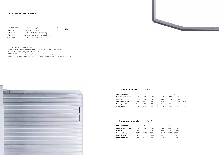Radio frequency<sup>(3</sup> Die-cast aluminum 1-10V, DALI, Midnight dimming Surge protection 6; 10 kV (optional)<sup>(4</sup> 100 000 h (L90B10C10) (5 Warranty 5 years

 $\bigoplus$   $\Box$  **IP66** 

220 - 240 **V** 50 - 60 **Hz** 3000/4000 (1 **K** -40 to +50 **°C** >70 (2 **CRI**

# **Technical information**

# **Custom modules** 4000K

**Standard modules** 4000K

**1** 5000 / 5700 available on request

| Number of LED's     |       | 72    |       |       |
|---------------------|-------|-------|-------|-------|
| Nominal current, mA | 350   | 500   | 700   | 350   |
| Power, W            | 300   | 400   | 500   | 400   |
| Luminous Flux, Im   | 34449 | 43792 | 51875 | 45820 |
| Efficacy, Im/W      | 114   | 109   | 103   | 114   |
| Power factor, PF    | በ.97  | 0.98  | 0.99  | 0.97  |

- **2** Luminaires with color rendering index (CRI): Ra >80 and Ra >90 on request
- **3** Optional. Available only with DALI ; 1 10 V
- **4** 10 kV ( L-N; L/N-PE ) surge protection device available on request
- **5** at Ta=25°, this value is only informative and may change according to selected article.



| <b>Number of LED's</b> |       | 264   |       |       |
|------------------------|-------|-------|-------|-------|
| Nominal current, mA    | 350   | 500   | 700   | 350   |
| Power. W               | 275   | 390   | 525   | 365   |
| Luminous Flux, Im      | 38740 | 52950 | 68070 | 51390 |
| Efficacy, Im/W         | 141   | 136   | 130   | 141   |
| Power factor, PF       | 0.96  | 0.97  | 0.98  | 0.96  |

| 96    |       |       |       |  |  |  |  |
|-------|-------|-------|-------|--|--|--|--|
| 350   | 430   | 520   | 580   |  |  |  |  |
| 400   | 500   | 600   | 675   |  |  |  |  |
| 45820 | 55294 | 63654 | 69087 |  |  |  |  |
| 114   | 110   | 106   | 102   |  |  |  |  |
| 0.97  | 0.98  | 0.99  | 0.99  |  |  |  |  |

|       | 352   |       |
|-------|-------|-------|
| 350   | 500   | 700   |
| 365   | 518   | 700   |
| 51390 | 70310 | 90540 |
| 141   | 136   | 129   |
| 0.96  | 0.97  | 0.98  |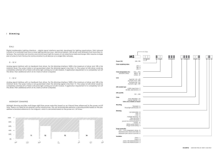# **Dimming**

# DALI

Digital Addressable Lighting Interface – digital signal interface specially developed for lighting applications. DALI network consists of a controller and one or more lighting devices (e.g., electrical ballasts, LED drivers and dimmers) that have DALI interfaces. The controller can monitor and control each light by means of a bi-directional data exchange. DALI requires a single pair of wires to form the bus for communication to all devices on a single DALI network.

# 0 - 10 V

Analog signal interface with no feedback from driver. For this dimming interface 100% is the maximum of driver and 10% is the minimum level. The output status is not guaranteed when the dimming signal is less than 1V. The output of LED driver could be completely switched off or there is still some light coming out of LED module. If application requirement is to completely turn off the driver, then additional switch at AC mains of driver is required.

# $1 - 10$  V

Analog signal interface with no feedback from driver. For this dimming interface 100% is the maximum of driver and 10% is the minimum level. The output status is not guaranteed when the dimming signal is less than 1V. The output of LED driver could be completely switched off or there is still some light coming out of LED module. If application requirement is to completely turn off the driver, then additional switch at AC mains of driver is required.

# MIDNIGHT DIMMING

Midnight dimming provides multi-stage night-time power reduction based on an internal timer referenced to the power on/off time. There is no need for an external control infrastructure. The unit automatically performs a dimming profile based on the predefined scheduled reference to the midpoint, which is calculated based on the power on / off times.

|                                                                                                                                            |                                                                                                                                                                                                                   | - E - Eco |
|--------------------------------------------------------------------------------------------------------------------------------------------|-------------------------------------------------------------------------------------------------------------------------------------------------------------------------------------------------------------------|-----------|
|                                                                                                                                            | MSI I                                                                                                                                                                                                             |           |
| Power [W]                                                                                                                                  | 050700                                                                                                                                                                                                            |           |
| Color rendering index                                                                                                                      | $270 - 7$<br>$≥80 - 8$<br>$290 - 9$                                                                                                                                                                               |           |
| Color temperature [K]<br>Standard values:                                                                                                  | 2700  5700<br>4000 K - 40<br>5700 K - 57                                                                                                                                                                          |           |
| Lens                                                                                                                                       | Type 2x2 - L01L99<br>Asymetric front - AFR<br>Asymetric left - ALT<br>Asymetric right - ART                                                                                                                       |           |
| LED module type                                                                                                                            | 6 LEDs, type X lens - Y<br>44 LEDs, type 2x2 lens - X                                                                                                                                                             |           |
| LED quantity                                                                                                                               | 001  352                                                                                                                                                                                                          |           |
| Color                                                                                                                                      | Silver (RAL9006) - CS<br>Asphalt (DB703) - CA<br>*other color available on request                                                                                                                                |           |
| Mounting                                                                                                                                   | Standard - A<br>Flood light (reinforced) - R                                                                                                                                                                      |           |
| Dimming                                                                                                                                    | non dimmable - N<br>DALI - D<br>$1-10V - A$<br>midnight dimming - M<br>step dimming - S<br>mains dimming - L<br>power line communication - P<br>wireless - W<br>NEMA socket (DALI) - Y<br>Zhaga socket (DALI) - Z |           |
| Surge protection<br>6 kV  10 kV integrated in driver - G<br>separate built-in 10 kV/10 kA SPD - H<br>separate built-in 30 kV/15 kA SPD - K |                                                                                                                                                                                                                   |           |
| Insulation                                                                                                                                 | $Class I - I$<br>Class II - 2<br>Class I with external driver - 4<br>Class II with external driver - 5                                                                                                            |           |



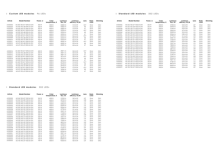# **Custom LED modules** 96 LEDs **Standard LED modules** 352 LEDs

| Luminous<br>flux, Im | Luminous<br>efficacy, Im/W | Lens            | Body<br>color | Dimming     |
|----------------------|----------------------------|-----------------|---------------|-------------|
| 51900 lm             | 142 lm/W                   | L07             | Silver        | <b>DALI</b> |
| 52930 lm             | 145 lm/W                   | L08             | Silver        | <b>DALI</b> |
| 51394 lm             | 140 lm/W                   | L <sub>13</sub> | Silver        | <b>DALI</b> |
| 53963 lm             | 147 lm/W                   | L14             | Silver        | <b>DALI</b> |
| 55505 lm             | 152 lm/W                   | L15             | Silver        | <b>DALI</b> |
| 50366 lm             | 138 lm/W                   | L <sub>20</sub> | Silver        | <b>DALI</b> |
| 47796 lm             | 131 lm/W                   | L35             | Silver        | <b>DALI</b> |
| 52421 lm             | 143 lm/W                   | L37             | Silver        | <b>DALI</b> |
| 71020 lm             | 136 lm/W                   | L07             | Silver        | DALI        |
| 72426 lm             | 139 lm/W                   | L08             | Silver        | <b>DALI</b> |
| 70317 lm             | 135 lm/W                   | L13             | Silver        | <b>DALI</b> |
| 73832 lm             | 142 lm/W                   | L14             | Silver        | DALI        |
| 75942 lm             | 146 lm/W                   | L15             | Silver        | DALI        |
| 68910 lm             | 132 lm/W                   | L <sub>20</sub> | Silver        | DALI        |
| 65394 lm             | 126 lm/W                   | L35             | Silver        | DALI        |
| 72723 lm             | 139 lm/W                   | L37             | Silver        | DALI        |
| 91449 lm             | 130 lm/W                   | L07             | Silver        | DALI        |
| 93260 lm             | 133 lm/W                   | L08             | Silver        | <b>DALI</b> |
| 90544 lm             | 129 lm/W                   | L13             | Silver        | DALI        |
| 95071 lm             | 135 lm/W                   | L14             | Silver        | DALI        |
| 97787 lm             | 139 lm/W                   | L15             | Silver        | DALI        |
| 88733 lm             | 126 lm/W                   | L <sub>20</sub> | Silver        | DALI        |
| 84205 lm             | 120 lm/W                   | L35             | Silver        | DALI        |
| 92354 lm             | 132 lm/W                   | L37             | Silver        | <b>DALI</b> |
|                      |                            |                 |               |             |

| Article  | <b>Model Number</b>        | Power, w | Color<br>temperature, K | Luminous<br>flux, Im | Luminous<br>efficacy, Im/W | Lens | Body<br>color | Dimming     | Article  | <b>Model Number</b>        | Power, w | Color<br>temperature, K | Luminous<br>flux, Im | Luminous<br>efficacy, Im/W | Lens | Body<br>color | Dimming |
|----------|----------------------------|----------|-------------------------|----------------------|----------------------------|------|---------------|-------------|----------|----------------------------|----------|-------------------------|----------------------|----------------------------|------|---------------|---------|
| 61000002 | MS 400 740 M17 X096 SA DH1 | 400 W    | 4000K                   | 45820 lm             | $114 \text{ Im/W}$         | M17  | Silver        | DALI        | 61000056 | MS 365 750 L07 Y352 SA DH1 | 365 W    | 5000K                   | 51900 lm             | 142 lm/W                   | LO7  | Silver        | DALI    |
| 61000003 | MS 400 740 L48 X096 SA DH1 | 400 W    | 4000 K                  | 45820 lm             | $114 \text{ Im/W}$         | 48   | Silver        | DALI        | 6100005  | MS 365 750 L08 Y352 SA DH1 | 365W     | 5000K                   | 52930 lm             | 145 lm/W                   | LO8  | Silver        | DALI    |
| 61000004 | MS 400 740 L47 X096 SA DH1 | 400 W    | 4000 K                  | 45820 lm             | $114 \text{ Im/W}$         | 47   | Silver        | DALI        | 61000058 | MS 365 750 L13 Y352 SA DH1 | 365W     | 5000K                   | 51394 lm             | $140 \, \text{Im/W}$       | L13  | Silver        | DALI    |
| 61000005 | MS 500 740 M17 X096 SA DH1 | 500 W    | 4000 K                  | 55294 lm             | $110 \, \text{Im/W}$       | M17  | Silver        | DALI        | 61000059 | MS 365 750 L14 Y352 SA DH1 | 365W     | 5000K                   | 53963 lm             | 147 lm/W                   | L14  | Silver        | DALI    |
| 61000006 | MS 500 740 L48 X096 SA DH1 | 500 W    | 4000 K                  | 55294 lm             | $110 \, \text{Im/W}$       | 48   | Silver        | DALI        | 61000060 | MS 365 750 L15 Y352 SA DH1 | 365W     | 5000K                   | 55505 lm             | 152 lm/W                   | L15  | Silver        | DALI    |
| 61000007 | MS 500 740 L47 X096 SA DH1 | 500 W    | 4000 K                  | 55294 lm             | $110 \, \text{Im/W}$       | 47   | Silver        | DALI        | 61000061 | MS 365 750 L20 Y352 SA DH1 | 365W     | 5000K                   | 50366 lm             | 138 lm/W                   | L20  | Silver        | DALI    |
| 61000008 | MS 600 740 M17 X096 SA DH1 | 600 W    | 4000 K                  | 63654 lm             | 106 lm/W                   | M17  | Silver        | DALI        | 61000062 | MS 365 750 L35 Y352 SA DH1 | 365W     | 5000K                   | 47796 lm             | 131 Im/W                   | L35  | Silver        | DALI    |
| 61000009 | MS 600 740 L48 X096 SA DH1 | 600 W    | 4000 K                  | 63654 lm             | 106 lm/W                   | 48   | Silver        | DALI        | 61000063 | MS 365 750 L37 Y352 SA DH1 | 365W     | 5000K                   | 52421 Im             | $143 \mathrm{Im} / W$      | L37  | Silver        | DALI    |
| 61000010 | MS 600 740 L47 X096 SA DH1 | 600 W    | 4000 K                  | 63654 lm             | 106 lm/W                   | 47   | Silver        | DALI        | 61000064 | MS 520 750 L07 Y352 SA DH1 | 520 W    | 5000K                   | 71020 lm             | 136 lm/W                   | L07  | Silver        | DALI    |
| 6100001  | MS 675 740 M17 X096 SA DH1 | 675 W    | 4000 K                  | 69087 lm             | 102 lm/W                   | M17  | Silver        | DALI        | 61000065 | MS 520 750 L08 Y352 SA DH1 | 520 W    | 5000K                   | 72426 lm             | 139 lm/W                   | LO8  | Silver        | DALI    |
| 61000012 | MS 675 740 L48 X096 SA DH1 | 675 W    | 4000 K                  | 69087 lm             | 102 lm/W                   | 48   | Silver        | <b>DALI</b> | 61000066 | MS 520 750 L13 Y352 SA DH1 | 520 W    | 5000K                   | 70317 lm             | $135 \mathrm{Im} / W$      | L13  | Silver        | DALI    |
| 61000013 | MS 675 740 L47 X096 SA DH1 | 675 W    | 4000 K                  | 69087 lm             | $102 \, \text{Im/W}$       | 47   | Silver        | DALI        | 6100006  | MS 520 750 L14 Y352 SA DH1 | 520 W    | 5000K                   | 73832 lm             | $142 \mathrm{Im} / W$      | L14  | Silver        | DALI    |
|          |                            |          |                         |                      |                            |      |               |             | 61000068 | MS 520 750 L15 Y352 SA DH1 | 520 W    | 5000K                   | 75942 lm             | 146 lm/W                   | L15  | Silver        | DALI    |
|          |                            |          |                         |                      |                            |      |               |             | 6100006  | MS 520 750 L20 Y352 SA DH1 | 520 W    | 5000K                   | 68910 lm             | 132 lm/W                   | L20  | Silver        | DALI    |
| 61000014 | MS 400 750 M17 X096 SA DH1 | 400 W    | 5000K                   | 49871 lm             | $124 \mathrm{Im} / W$      | M17  | Silver        | DALI        | 61000070 | MS 520 750 L35 Y352 SA DH1 | 520 W    | 5000K                   | 65394 lm             | 126 lm/W                   | L35  | Silver        | DALI    |
| 61000015 | MS 400 750 L48 X096 SA DH1 | 400 W    | 5000K                   | 49871 lm             | $124 \mathrm{Im} / W$      | 48   | Silver        | DALI        | 61000071 | MS 520 750 L37 Y352 SA DH1 | 520 W    | 5000K                   | 72723 lm             | 139 lm/W                   | L37  | Silver        | DALI    |
| 61000016 | MS 400 750 L47 X096 SA DH1 | 400 W    | 5000 K                  | 49871 lm             | $124 \mathrm{Im} / W$      | 47   | Silver        | DALI        | 61000072 | MS 700 750 L07 Y352 SA DH1 | 700 W    | 5000K                   | 91449 lm             | 130 lm/W                   | LO7  | Silver        | DALI    |
| 6100001  | MS 500 750 M17 X096 SA DH1 | 500 W    | 5000K                   | 60116 lm             | 120 lm/W                   | M17  | Silver        | DALI        | 61000073 | MS 700 750 L08 Y352 SA DH1 | 700 W    | 5000K                   | 93260 lm             | 133 lm/W                   | L08  | Silver        | DALI    |
| 61000018 | MS 500 750 L48 X096 SA DH1 | 500 W    | 5000K                   | 60116 lm             | 120 lm/W                   | 48   | Silver        | DALI        | 61000074 | MS 700 750 L13 Y352 SA DH1 | 700 W    | 5000K                   | 90544 lm             | 129 lm/W                   | L13  | Silver        | DALI    |
| 61000019 | MS 500 750 L47 X096 SA DH1 | 500 W    | 5000K                   | 60116 lm             | 120 lm/W                   | 47   | Silver        | DALI        | 61000075 | MS 700 750 L14 Y352 SA DH1 | 700 W    | 5000 K                  | 95071 lm             | $135 \mathrm{Im} / W$      | L14  | Silver        | DALI    |
| 61000020 | MS 600 750 M17 X096 SA DH1 | 600 W    | 5000K                   | 69705 lm             | $116 \text{ Im/W}$         | M17  | Silver        | DALI        | 61000076 | MS 700 750 L15 Y352 SA DH1 | 700 W    | 5000K                   | 97787 lm             | $139 \mathrm{Im} / W$      | L15  | Silver        | DALI    |
| 61000021 | MS 600 750 L48 X096 SA DH1 | 600 W    | 5000K                   | 69705 lm             | $116 \, \text{Im/W}$       | 48   | Silver        | DALI        | 6100007  | MS 700 750 L20 Y352 SA DH1 | 700 W    | 5000K                   | 88733 lm             | 126 lm/W                   | L20  | Silver        | DALI    |
| 61000022 | MS 600 750 L47 X096 SA DH1 | 600 W    | 5000K                   | 69705 lm             | $116 \mathrm{Im} / W$      | 47   | Silver        | DALI        | 61000078 | MS 700 750 L35 Y352 SA DH1 | 700 W    | 5000K                   | 84205 lm             | 120 lm/W                   | L35  | Silver        | DALI    |
| 61000023 | MS 675 750 M17 X096 SA DH1 | 675 W    | 5000K                   | 76249 lm             | $113 \text{ Im/W}$         | M17  | Silver        | DALI        | 61000079 | MS 700 750 L37 Y352 SA DH1 | 700 W    | 5000K                   | 92354 lm             | 132 lm/W                   | L37  | Silver        | DALI    |
| 61000024 | MS 675 750 L48 X096 SA DH1 | 675 W    | 5000 K                  | 76249 lm             | $113 \, \text{Im/W}$       | 48   | Silver        | DALI        |          |                            |          |                         |                      |                            |      |               |         |
| 61000025 | MS 675 750 L47 X096 SA DH1 | 675 W    | 5000K                   | 76249 lm             | $113 \text{ Im/W}$         | 47   | Silver        | DALI        |          |                            |          |                         |                      |                            |      |               |         |

# **Standard LED modules** 352 LEDs

| Article  | Model Number               | Power, w | Color<br>temperature, K | Luminous<br>flux, Im | Luminous<br>efficacy, Im/W | Lens             | Bodv<br>color | Dimming     |
|----------|----------------------------|----------|-------------------------|----------------------|----------------------------|------------------|---------------|-------------|
| 61000032 | MS 365 740 L07 Y352 SA DH1 | 365 W    | 4000 K                  | 51900 lm             | 142 lm/W                   | LO7              | Silver        | DALI        |
| 61000033 | MS 365 740 L08 Y352 SA DH1 | 365 W    | 4000 K                  | 52930 lm             | 145 lm/W                   | L08              | Silver        | DALI        |
| 61000034 | MS 365 740 L13 Y352 SA DH1 | 365 W    | 4000 K                  | 51394 lm             | 140 lm/W                   | L <sub>13</sub>  | Silver        | <b>DALI</b> |
| 61000035 | MS 365 740 L14 Y352 SA DH1 | 365 W    | 4000 K                  | 53963 lm             | $147$ lm/W                 | L14              | Silver        | <b>DALI</b> |
| 61000036 | MS 365 740 L15 Y352 SA DH1 | 365 W    | 4000 K                  | 55505 lm             | 152 lm/W                   | L15              | Silver        | <b>DALI</b> |
| 61000037 | MS 365 740 L20 Y352 SA DH1 | 365 W    | 4000 K                  | 50366 lm             | 138 lm/W                   | L <sub>20</sub>  | Silver        | <b>DALI</b> |
| 61000038 | MS 365 740 L35 Y352 SA DH1 | 365 W    | 4000 K                  | 47796 lm             | 131 lm/W                   | L35              | Silver        | DALI        |
| 61000039 | MS 365 740 L37 Y352 SA DH1 | 365 W    | 4000 K                  | 52421 lm             | 143 lm/W                   | L37              | Silver        | <b>DALI</b> |
| 61000040 | MS 520 740 L07 Y352 SA DH1 | 520 W    | 4000 K                  | 71020 lm             | 136 lm/W                   | L <sub>07</sub>  | Silver        | DALI        |
| 61000041 | MS 520 740 L08 Y352 SA DH1 | 520 W    | 4000 K                  | 72426 lm             | 139 lm/W                   | LO <sub>8</sub>  | Silver        | <b>DALI</b> |
| 61000042 | MS 520 740 L13 Y352 SA DH1 | 520 W    | 4000 K                  | 70317 lm             | 135 lm/W                   | L <sub>13</sub>  | Silver        | <b>DALI</b> |
| 61000043 | MS 520 740 L14 Y352 SA DH1 | 520 W    | 4000 K                  | 73832 lm             | $142 \mathrm{Im} / W$      | L14              | Silver        | DALI        |
| 61000044 | MS 520 740 L15 Y352 SA DH1 | 520 W    | 4000 K                  | 75942 lm             | 146 lm/W                   | L <sub>15</sub>  | Silver        | <b>DALI</b> |
| 61000045 | MS 520 740 L20 Y352 SA DH1 | 520 W    | 4000 K                  | 68910 lm             | $132 \mathrm{Im} / W$      | L20              | Silver        | <b>DALI</b> |
| 61000046 | MS 520 740 L35 Y352 SA DH1 | 520 W    | 4000 K                  | 65394 lm             | 126 lm/W                   | L35              | Silver        | <b>DALI</b> |
| 61000047 | MS 520 740 L37 Y352 SA DH1 | 520 W    | 4000 K                  | 72723 lm             | 139 lm/W                   | L37              | Silver        | <b>DALI</b> |
| 61000048 | MS 700 740 L07 Y352 SA DH1 | 700 W    | 4000 K                  | 91449 lm             | 130 lm/W                   | LO <sub>7</sub>  | Silver        | <b>DALI</b> |
| 61000049 | MS 700 740 L08 Y352 SA DH1 | 700 W    | 4000 K                  | 93260 lm             | 133 lm/W                   | L <sub>0</sub> 8 | Silver        | <b>DALI</b> |
| 61000050 | MS 700 740 L13 Y352 SA DH1 | 700 W    | 4000 K                  | 90544 lm             | 129 lm/W                   | L <sub>13</sub>  | Silver        | <b>DALI</b> |
| 61000051 | MS 700 740 L14 Y352 SA DH1 | 700 W    | 4000 K                  | 95071 lm             | 135 lm/W                   | L14              | Silver        | <b>DALI</b> |
| 61000052 | MS 700 740 L15 Y352 SA DH1 | 700 W    | 4000 K                  | 97787 lm             | 139 lm/W                   | L15              | Silver        | <b>DALI</b> |
| 61000053 | MS 700 740 L20 Y352 SA DH1 | 700 W    | 4000 K                  | 88733 lm             | 126 lm/W                   | L <sub>20</sub>  | Silver        | <b>DALI</b> |
| 61000054 | MS 700 740 L35 Y352 SA DH1 | 700 W    | 4000 K                  | 84205 lm             | 120 lm/W                   | L35              | Silver        | DALI        |
| 61000055 | MS 700 740 L37 Y352 SA DH1 | 700 W    | 4000 K                  | 92354 lm             | 132 lm/W                   | L37              | Silver        | DALI        |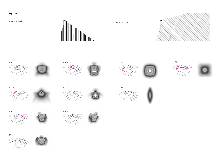# **Optics**

# Asymmetric



















M 17





# Symmetric

L 45

















0° <sup>15</sup>°

30° 45° 60°







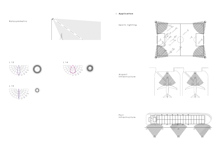# | Application



# Sports lighting





∩









Port<br>infrastructure

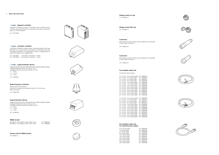# **Accessories**

# **Citintelly Segment controller**

Luminaire Controller is wireless mesh-networking device that uses 868 MHz for communication with Segment Controller and other Luminaire Controllers. It is delivered in various configurations to meet the needs of your applications.

Segment Controller receives commands from Citintelly server via GSM and transmits tasks to Luminaire Controller via radio fre quency communication.

Surge Protection device offersprotection against lighting surges; Voltage Protection level up (L-N) ≤ 1,5 kV Voltage Protection level up (L/N-PE) ≤ 1,8 kV  $U_{oc}$  = 10 kV

 $I_{max}$  = 10 kA  $I_{\text{nom}} = 5 \text{ kA}$ 

| Art. 70010001 | Luminaire controller, 2 relay                 |
|---------------|-----------------------------------------------|
|               | Art. 70010002   Luminaire controller, 1 relay |

# **Citintelly Surge Protection device**

Surge Protection device offersprotection against lighting surges; Voltage Protection level up (L-N) ≤ 1,5 kV Voltage Protection level up (L/N-PE) ≤ 2,0 kV  $U_{oc}$  = 10 kV  $I_{max}$  = 10 kA  $I_{\text{nom}} = 5 \text{ kA}$ 

Art. 70010004



# **Citintelly Luminaire controller**

2213362-3, 5 pin NEMA socket 105°C wires Art. 70000362 2213362-4, 7 pin NEMA socket 105°C wires

Art. 70002001

# **Radio Frequency Antenna**

Heavy duty IP67 enclosure Mounted in cabinet or luminaire body with 14 mm screw SMA connector

Art. 70000108

### **Surge Protection device**

Art. 70000203

# **NEMA Socket**

**Dummy Link for NEMA Socket** Art. 70000113













### **Connector**

IP66 rated connector offers easy installation of luminaires. 3 wire cable connector

Art. 70000313

### **Connector**

IP66 rated connector offers easy installation of luminaires. 5 wire cable connector

Art. 70000315

# **Pre-installed cable sets**

For iternal power supply:

| $3 \times 1.5$ mm - 0.5 m long cable | Art. 70000319 |
|--------------------------------------|---------------|
| $3 \times 1.5$ mm $-5$ m long cable  | Art. 70000320 |
| $3 \times 1.5$ mm - 6 m long cable   | Art. 70000321 |
| $3 \times 1.5$ mm - 8 m long cable   | Art. 70000322 |
| $3 \times 1.5$ mm $-10$ m long cable | Art. 70000323 |
| $3 \times 1.5$ mm $-12$ m long cable | Art. 70000324 |
| 3 x 1,5 mm - 18 m long cable         | Art. 70000325 |
| $3 \times 1.5$ mm - 20 m long cable  | Art. 70000425 |
| 3 x 1,5 mm - 22 m long cable         | Art. 70000426 |
| 3 x 1,5 mm - 25 m long cable         | Art. 70000427 |
| $3 \times 1.5$ mm - 32 m long cable  | Art. 70000430 |
| $3 \times 1.5$ mm - 42 m long cable  | Art. 70000431 |
| $3 \times 1.5$ mm - 50 m long cable  | Art. 70000432 |
|                                      |               |

5 x 1,5 mm - 0,5 m long cable Art. 70000305 5 x 1,5 mm - 5 m long cable Art. 70000316 5 x 1,5 mm - 6 m long cable Art. 70000317 5 x 1,5 mm - 8 m long cable Art. 70000318 5 x 1,5 mm - 10 m long cable Art. 70000306 5 x 1,5 mm - 12 m long cable Art. 70000307 5 x 1,5 mm - 18 m long cable Art. 70000308 5 x 1,5 mm - 20 m long cable Art. 70000428 5 x 1,5 mm - 22 m long cable Art. 70000429 5 x 1,5 mm - 25 m long cable Art. 70000429 5 x 1,5 mm - 32 m long cable Art. 70000433 5 x 1,5 mm - 42 m long cable Art. 70000434 5 x 1,5 mm -42 m long cable Art. 70000435

## **Pre-installed cable sets For external power supply**

| 0,5 m long cable | Art. 70000436 |
|------------------|---------------|
| 5 m long cable   | Art. 70000437 |
| 6 m long cable   | Art. 70000438 |
| 8 m long cable   | Art. 70000439 |
| 10 m long cable  | Art. 70000440 |
| 12 m long cable  | Art. 70000441 |
| 18 m long cable  | Art. 70000442 |
| 20 m long cable  | Art. 70000443 |
| 22 m long cable  | Art. 70000444 |
| 25 m long cable  | Art. 70000445 |
|                  |               |















# **Zhaga socket with cap**

Art. 70000613

# **Zhaga socket no cap**

Art. 70000612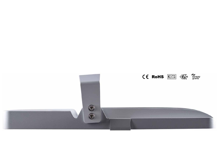